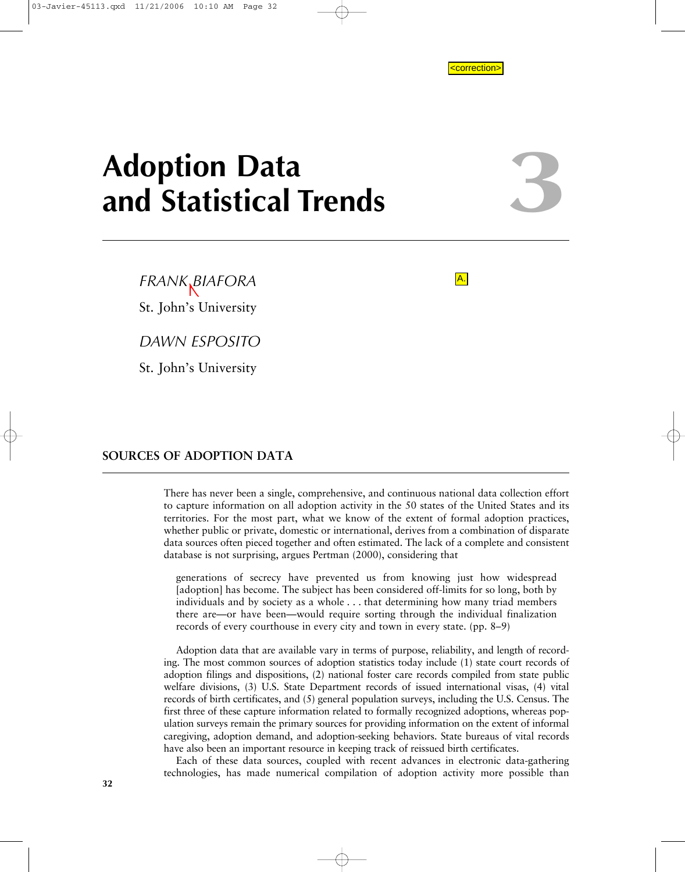A. <correction>

**3**

# **Adoption Data and Statistical Trends**

*FRANK BIAFORA* St. John's University

*DAWN ESPOSITO*

St. John's University

# **SOURCES OF ADOPTION DATA**

There has never been a single, comprehensive, and continuous national data collection effort to capture information on all adoption activity in the 50 states of the United States and its territories. For the most part, what we know of the extent of formal adoption practices, whether public or private, domestic or international, derives from a combination of disparate data sources often pieced together and often estimated. The lack of a complete and consistent database is not surprising, argues Pertman (2000), considering that

generations of secrecy have prevented us from knowing just how widespread [adoption] has become. The subject has been considered off-limits for so long, both by individuals and by society as a whole . . . that determining how many triad members there are—or have been—would require sorting through the individual finalization records of every courthouse in every city and town in every state. (pp. 8–9)

Adoption data that are available vary in terms of purpose, reliability, and length of recording. The most common sources of adoption statistics today include (1) state court records of adoption filings and dispositions, (2) national foster care records compiled from state public welfare divisions, (3) U.S. State Department records of issued international visas, (4) vital records of birth certificates, and (5) general population surveys, including the U.S. Census. The first three of these capture information related to formally recognized adoptions, whereas population surveys remain the primary sources for providing information on the extent of informal caregiving, adoption demand, and adoption-seeking behaviors. State bureaus of vital records have also been an important resource in keeping track of reissued birth certificates.

Each of these data sources, coupled with recent advances in electronic data-gathering technologies, has made numerical compilation of adoption activity more possible than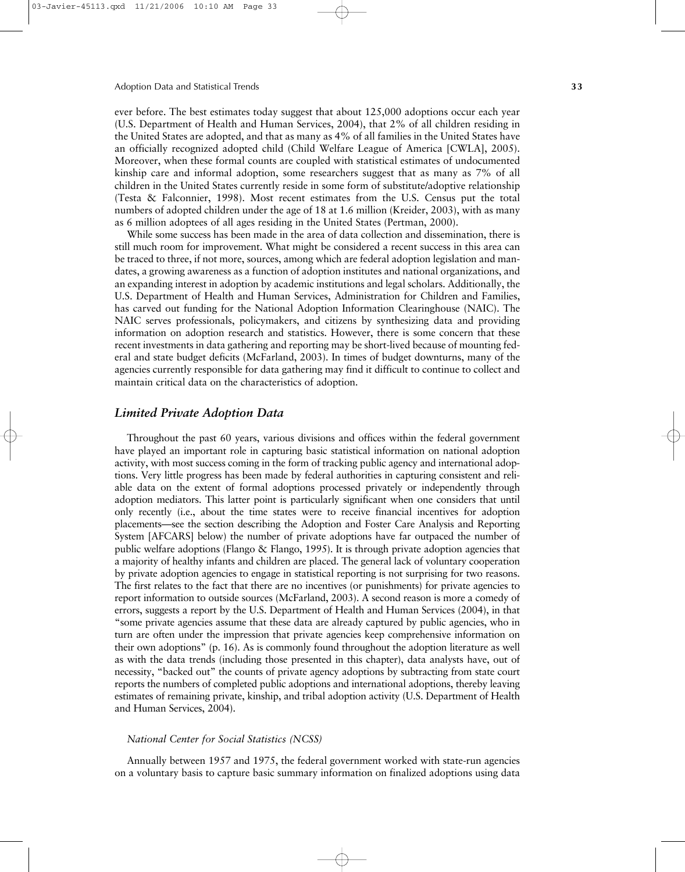ever before. The best estimates today suggest that about 125,000 adoptions occur each year (U.S. Department of Health and Human Services, 2004), that 2% of all children residing in the United States are adopted, and that as many as 4% of all families in the United States have an officially recognized adopted child (Child Welfare League of America [CWLA], 2005). Moreover, when these formal counts are coupled with statistical estimates of undocumented kinship care and informal adoption, some researchers suggest that as many as 7% of all children in the United States currently reside in some form of substitute/adoptive relationship (Testa & Falconnier, 1998). Most recent estimates from the U.S. Census put the total numbers of adopted children under the age of 18 at 1.6 million (Kreider, 2003), with as many as 6 million adoptees of all ages residing in the United States (Pertman, 2000).

While some success has been made in the area of data collection and dissemination, there is still much room for improvement. What might be considered a recent success in this area can be traced to three, if not more, sources, among which are federal adoption legislation and mandates, a growing awareness as a function of adoption institutes and national organizations, and an expanding interest in adoption by academic institutions and legal scholars. Additionally, the U.S. Department of Health and Human Services, Administration for Children and Families, has carved out funding for the National Adoption Information Clearinghouse (NAIC). The NAIC serves professionals, policymakers, and citizens by synthesizing data and providing information on adoption research and statistics. However, there is some concern that these recent investments in data gathering and reporting may be short-lived because of mounting federal and state budget deficits (McFarland, 2003). In times of budget downturns, many of the agencies currently responsible for data gathering may find it difficult to continue to collect and maintain critical data on the characteristics of adoption.

# *Limited Private Adoption Data*

Throughout the past 60 years, various divisions and offices within the federal government have played an important role in capturing basic statistical information on national adoption activity, with most success coming in the form of tracking public agency and international adoptions. Very little progress has been made by federal authorities in capturing consistent and reliable data on the extent of formal adoptions processed privately or independently through adoption mediators. This latter point is particularly significant when one considers that until only recently (i.e., about the time states were to receive financial incentives for adoption placements—see the section describing the Adoption and Foster Care Analysis and Reporting System [AFCARS] below) the number of private adoptions have far outpaced the number of public welfare adoptions (Flango & Flango, 1995). It is through private adoption agencies that a majority of healthy infants and children are placed. The general lack of voluntary cooperation by private adoption agencies to engage in statistical reporting is not surprising for two reasons. The first relates to the fact that there are no incentives (or punishments) for private agencies to report information to outside sources (McFarland, 2003). A second reason is more a comedy of errors, suggests a report by the U.S. Department of Health and Human Services (2004), in that "some private agencies assume that these data are already captured by public agencies, who in turn are often under the impression that private agencies keep comprehensive information on their own adoptions" (p. 16). As is commonly found throughout the adoption literature as well as with the data trends (including those presented in this chapter), data analysts have, out of necessity, "backed out" the counts of private agency adoptions by subtracting from state court reports the numbers of completed public adoptions and international adoptions, thereby leaving estimates of remaining private, kinship, and tribal adoption activity (U.S. Department of Health and Human Services, 2004).

#### *National Center for Social Statistics (NCSS)*

Annually between 1957 and 1975, the federal government worked with state-run agencies on a voluntary basis to capture basic summary information on finalized adoptions using data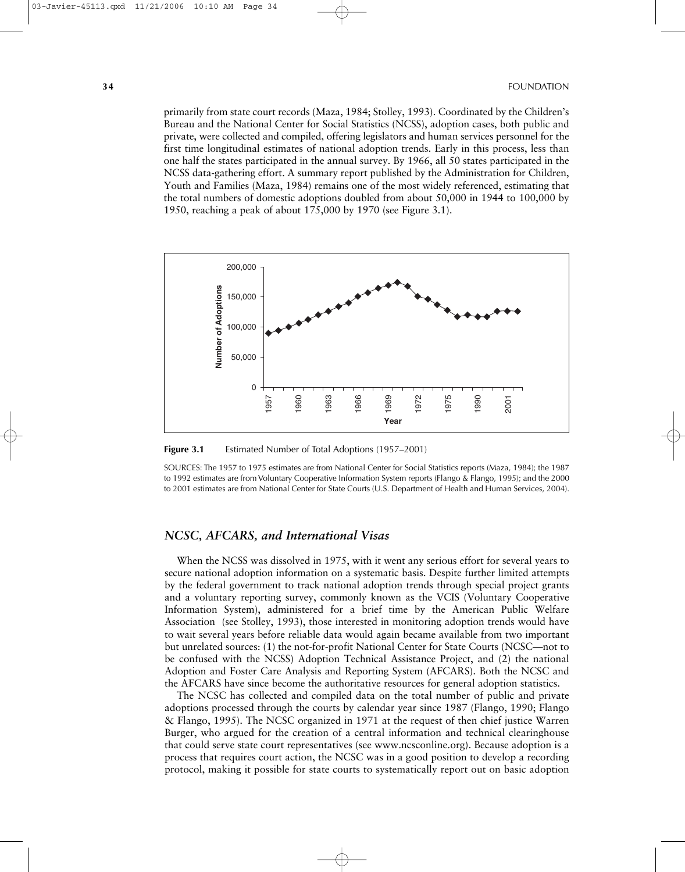#### **34** FOUNDATION

primarily from state court records (Maza, 1984; Stolley, 1993). Coordinated by the Children's Bureau and the National Center for Social Statistics (NCSS), adoption cases, both public and private, were collected and compiled, offering legislators and human services personnel for the first time longitudinal estimates of national adoption trends. Early in this process, less than one half the states participated in the annual survey. By 1966, all 50 states participated in the NCSS data-gathering effort. A summary report published by the Administration for Children, Youth and Families (Maza, 1984) remains one of the most widely referenced, estimating that the total numbers of domestic adoptions doubled from about 50,000 in 1944 to 100,000 by 1950, reaching a peak of about 175,000 by 1970 (see Figure 3.1).



**Figure 3.1** Estimated Number of Total Adoptions (1957–2001)

SOURCES: The 1957 to 1975 estimates are from National Center for Social Statistics reports (Maza, 1984); the 1987 to 1992 estimates are from Voluntary Cooperative Information System reports (Flango & Flango, 1995); and the 2000 to 2001 estimates are from National Center for State Courts (U.S. Department of Health and Human Services, 2004).

#### *NCSC, AFCARS, and International Visas*

When the NCSS was dissolved in 1975, with it went any serious effort for several years to secure national adoption information on a systematic basis. Despite further limited attempts by the federal government to track national adoption trends through special project grants and a voluntary reporting survey, commonly known as the VCIS (Voluntary Cooperative Information System), administered for a brief time by the American Public Welfare Association (see Stolley, 1993), those interested in monitoring adoption trends would have to wait several years before reliable data would again became available from two important but unrelated sources: (1) the not-for-profit National Center for State Courts (NCSC—not to be confused with the NCSS) Adoption Technical Assistance Project, and (2) the national Adoption and Foster Care Analysis and Reporting System (AFCARS). Both the NCSC and the AFCARS have since become the authoritative resources for general adoption statistics.

The NCSC has collected and compiled data on the total number of public and private adoptions processed through the courts by calendar year since 1987 (Flango, 1990; Flango & Flango, 1995). The NCSC organized in 1971 at the request of then chief justice Warren Burger, who argued for the creation of a central information and technical clearinghouse that could serve state court representatives (see www.ncsconline.org). Because adoption is a process that requires court action, the NCSC was in a good position to develop a recording protocol, making it possible for state courts to systematically report out on basic adoption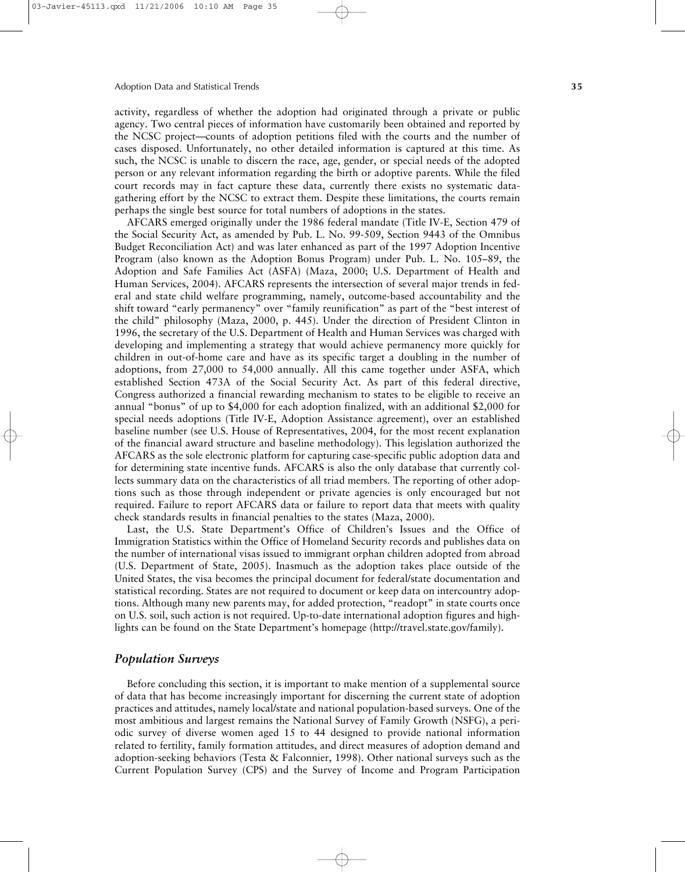activity, regardless of whether the adoption had originated through a private or public agency. Two central pieces of information have customarily been obtained and reported by the NCSC project—counts of adoption petitions filed with the courts and the number of cases disposed. Unfortunately, no other detailed information is captured at this time. As such, the NCSC is unable to discern the race, age, gender, or special needs of the adopted person or any relevant information regarding the birth or adoptive parents. While the filed court records may in fact capture these data, currently there exists no systematic datagathering effort by the NCSC to extract them. Despite these limitations, the courts remain perhaps the single best source for total numbers of adoptions in the states.

AFCARS emerged originally under the 1986 federal mandate (Title IV-E, Section 479 of the Social Security Act, as amended by Pub. L. No. 99-509, Section 9443 of the Omnibus Budget Reconciliation Act) and was later enhanced as part of the 1997 Adoption Incentive Program (also known as the Adoption Bonus Program) under Pub. L. No. 105–89, the Adoption and Safe Families Act (ASFA) (Maza, 2000; U.S. Department of Health and Human Services, 2004). AFCARS represents the intersection of several major trends in federal and state child welfare programming, namely, outcome-based accountability and the shift toward "early permanency" over "family reunification" as part of the "best interest of the child" philosophy (Maza, 2000, p. 445). Under the direction of President Clinton in 1996, the secretary of the U.S. Department of Health and Human Services was charged with developing and implementing a strategy that would achieve permanency more quickly for children in out-of-home care and have as its specific target a doubling in the number of adoptions, from 27,000 to 54,000 annually. All this came together under ASFA, which established Section 473A of the Social Security Act. As part of this federal directive, Congress authorized a financial rewarding mechanism to states to be eligible to receive an annual "bonus" of up to \$4,000 for each adoption finalized, with an additional \$2,000 for special needs adoptions (Title IV-E, Adoption Assistance agreement), over an established baseline number (see U.S. House of Representatives, 2004, for the most recent explanation of the financial award structure and baseline methodology). This legislation authorized the AFCARS as the sole electronic platform for capturing case-specific public adoption data and for determining state incentive funds. AFCARS is also the only database that currently collects summary data on the characteristics of all triad members. The reporting of other adoptions such as those through independent or private agencies is only encouraged but not required. Failure to report AFCARS data or failure to report data that meets with quality check standards results in financial penalties to the states (Maza, 2000).

Last, the U.S. State Department's Office of Children's Issues and the Office of Immigration Statistics within the Office of Homeland Security records and publishes data on the number of international visas issued to immigrant orphan children adopted from abroad (U.S. Department of State, 2005). Inasmuch as the adoption takes place outside of the United States, the visa becomes the principal document for federal/state documentation and statistical recording. States are not required to document or keep data on intercountry adoptions. Although many new parents may, for added protection, "readopt" in state courts once on U.S. soil, such action is not required. Up-to-date international adoption figures and highlights can be found on the State Department's homepage (http://travel.state.gov/family).

# *Population Surveys*

Before concluding this section, it is important to make mention of a supplemental source of data that has become increasingly important for discerning the current state of adoption practices and attitudes, namely local/state and national population-based surveys. One of the most ambitious and largest remains the National Survey of Family Growth (NSFG), a periodic survey of diverse women aged 15 to 44 designed to provide national information related to fertility, family formation attitudes, and direct measures of adoption demand and adoption-seeking behaviors (Testa & Falconnier, 1998). Other national surveys such as the Current Population Survey (CPS) and the Survey of Income and Program Participation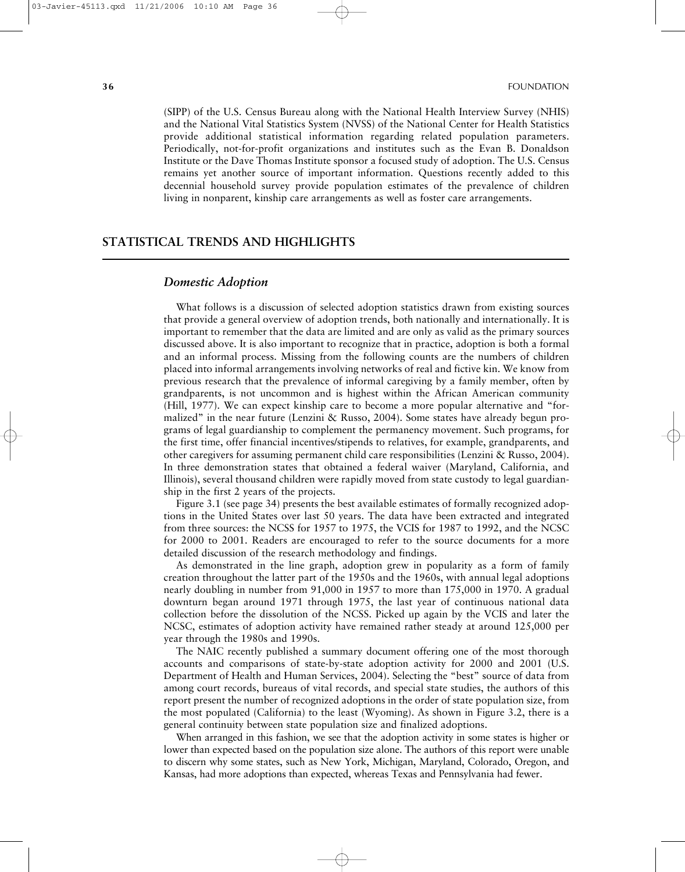(SIPP) of the U.S. Census Bureau along with the National Health Interview Survey (NHIS) and the National Vital Statistics System (NVSS) of the National Center for Health Statistics provide additional statistical information regarding related population parameters. Periodically, not-for-profit organizations and institutes such as the Evan B. Donaldson Institute or the Dave Thomas Institute sponsor a focused study of adoption. The U.S. Census remains yet another source of important information. Questions recently added to this decennial household survey provide population estimates of the prevalence of children living in nonparent, kinship care arrangements as well as foster care arrangements.

# **STATISTICAL TRENDS AND HIGHLIGHTS**

# *Domestic Adoption*

What follows is a discussion of selected adoption statistics drawn from existing sources that provide a general overview of adoption trends, both nationally and internationally. It is important to remember that the data are limited and are only as valid as the primary sources discussed above. It is also important to recognize that in practice, adoption is both a formal and an informal process. Missing from the following counts are the numbers of children placed into informal arrangements involving networks of real and fictive kin. We know from previous research that the prevalence of informal caregiving by a family member, often by grandparents, is not uncommon and is highest within the African American community (Hill, 1977). We can expect kinship care to become a more popular alternative and "formalized" in the near future (Lenzini & Russo, 2004). Some states have already begun programs of legal guardianship to complement the permanency movement. Such programs, for the first time, offer financial incentives/stipends to relatives, for example, grandparents, and other caregivers for assuming permanent child care responsibilities (Lenzini & Russo, 2004). In three demonstration states that obtained a federal waiver (Maryland, California, and Illinois), several thousand children were rapidly moved from state custody to legal guardianship in the first 2 years of the projects.

Figure 3.1 (see page 34) presents the best available estimates of formally recognized adoptions in the United States over last 50 years. The data have been extracted and integrated from three sources: the NCSS for 1957 to 1975, the VCIS for 1987 to 1992, and the NCSC for 2000 to 2001. Readers are encouraged to refer to the source documents for a more detailed discussion of the research methodology and findings.

As demonstrated in the line graph, adoption grew in popularity as a form of family creation throughout the latter part of the 1950s and the 1960s, with annual legal adoptions nearly doubling in number from 91,000 in 1957 to more than 175,000 in 1970. A gradual downturn began around 1971 through 1975, the last year of continuous national data collection before the dissolution of the NCSS. Picked up again by the VCIS and later the NCSC, estimates of adoption activity have remained rather steady at around 125,000 per year through the 1980s and 1990s.

The NAIC recently published a summary document offering one of the most thorough accounts and comparisons of state-by-state adoption activity for 2000 and 2001 (U.S. Department of Health and Human Services, 2004). Selecting the "best" source of data from among court records, bureaus of vital records, and special state studies, the authors of this report present the number of recognized adoptions in the order of state population size, from the most populated (California) to the least (Wyoming). As shown in Figure 3.2, there is a general continuity between state population size and finalized adoptions.

When arranged in this fashion, we see that the adoption activity in some states is higher or lower than expected based on the population size alone. The authors of this report were unable to discern why some states, such as New York, Michigan, Maryland, Colorado, Oregon, and Kansas, had more adoptions than expected, whereas Texas and Pennsylvania had fewer.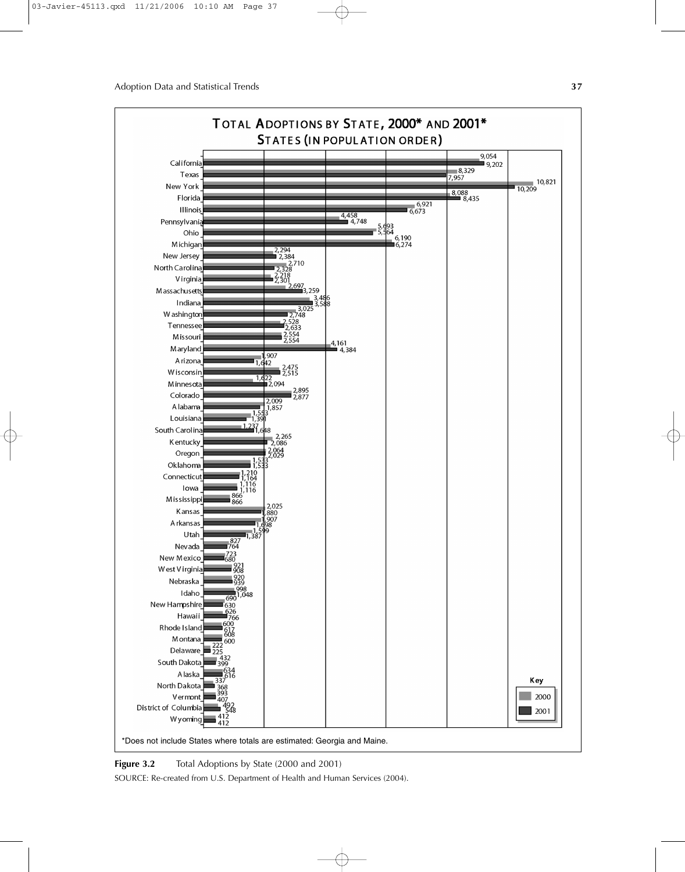



SOURCE: Re-created from U.S. Department of Health and Human Services (2004).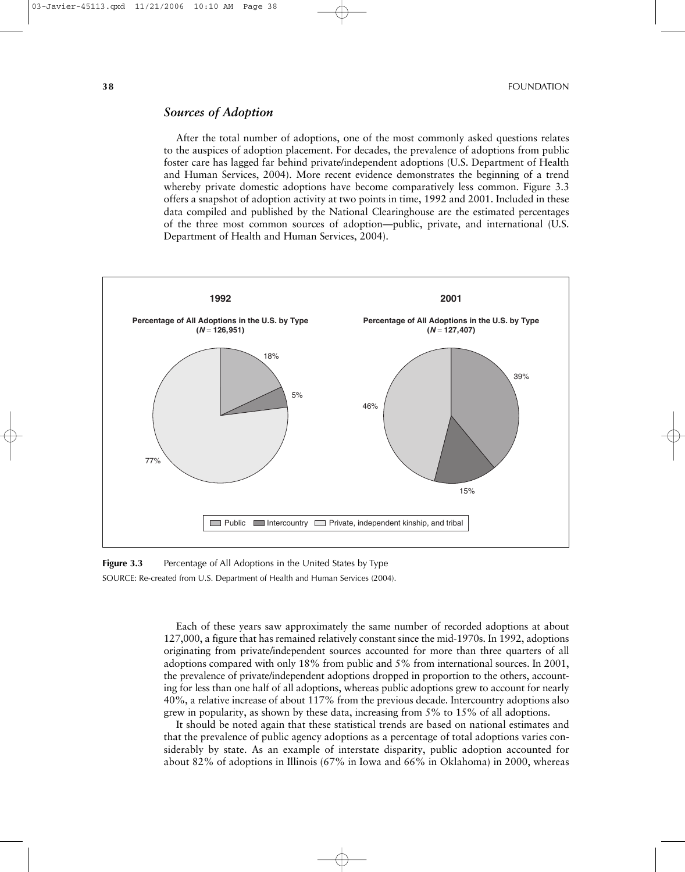#### *Sources of Adoption*

After the total number of adoptions, one of the most commonly asked questions relates to the auspices of adoption placement. For decades, the prevalence of adoptions from public foster care has lagged far behind private/independent adoptions (U.S. Department of Health and Human Services, 2004). More recent evidence demonstrates the beginning of a trend whereby private domestic adoptions have become comparatively less common. Figure 3.3 offers a snapshot of adoption activity at two points in time, 1992 and 2001. Included in these data compiled and published by the National Clearinghouse are the estimated percentages of the three most common sources of adoption—public, private, and international (U.S. Department of Health and Human Services, 2004).



**Figure 3.3** Percentage of All Adoptions in the United States by Type SOURCE: Re-created from U.S. Department of Health and Human Services (2004).

Each of these years saw approximately the same number of recorded adoptions at about 127,000, a figure that has remained relatively constant since the mid-1970s. In 1992, adoptions originating from private/independent sources accounted for more than three quarters of all adoptions compared with only 18% from public and 5% from international sources. In 2001, the prevalence of private/independent adoptions dropped in proportion to the others, accounting for less than one half of all adoptions, whereas public adoptions grew to account for nearly 40%, a relative increase of about 117% from the previous decade. Intercountry adoptions also grew in popularity, as shown by these data, increasing from 5% to 15% of all adoptions.

It should be noted again that these statistical trends are based on national estimates and that the prevalence of public agency adoptions as a percentage of total adoptions varies considerably by state. As an example of interstate disparity, public adoption accounted for about 82% of adoptions in Illinois (67% in Iowa and 66% in Oklahoma) in 2000, whereas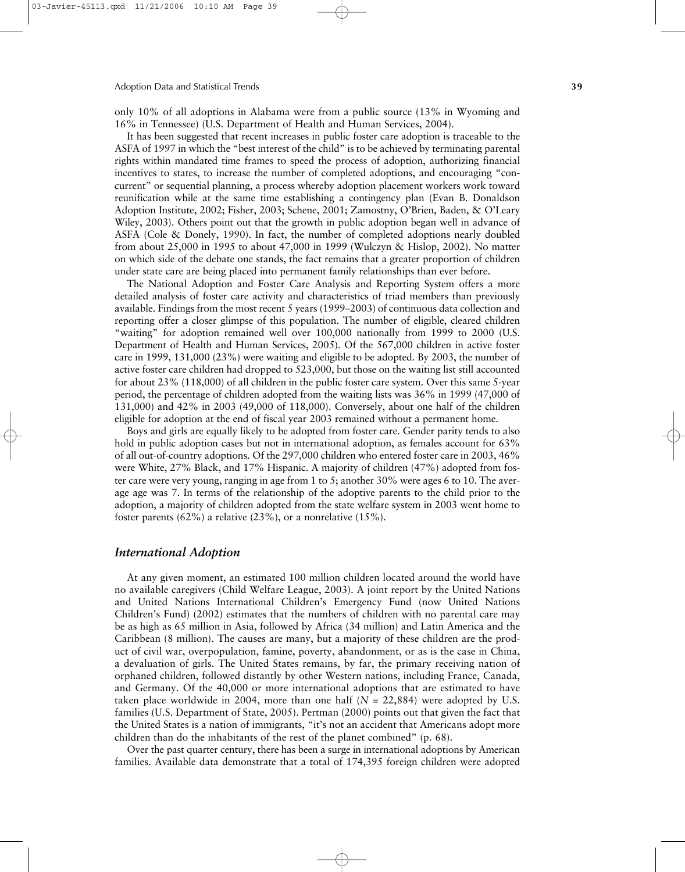only 10% of all adoptions in Alabama were from a public source (13% in Wyoming and 16% in Tennessee) (U.S. Department of Health and Human Services, 2004).

It has been suggested that recent increases in public foster care adoption is traceable to the ASFA of 1997 in which the "best interest of the child" is to be achieved by terminating parental rights within mandated time frames to speed the process of adoption, authorizing financial incentives to states, to increase the number of completed adoptions, and encouraging "concurrent" or sequential planning, a process whereby adoption placement workers work toward reunification while at the same time establishing a contingency plan (Evan B. Donaldson Adoption Institute, 2002; Fisher, 2003; Schene, 2001; Zamostny, O'Brien, Baden, & O'Leary Wiley, 2003). Others point out that the growth in public adoption began well in advance of ASFA (Cole & Donely, 1990). In fact, the number of completed adoptions nearly doubled from about 25,000 in 1995 to about 47,000 in 1999 (Wulczyn & Hislop, 2002). No matter on which side of the debate one stands, the fact remains that a greater proportion of children under state care are being placed into permanent family relationships than ever before.

The National Adoption and Foster Care Analysis and Reporting System offers a more detailed analysis of foster care activity and characteristics of triad members than previously available. Findings from the most recent 5 years (1999–2003) of continuous data collection and reporting offer a closer glimpse of this population. The number of eligible, cleared children "waiting" for adoption remained well over 100,000 nationally from 1999 to 2000 (U.S. Department of Health and Human Services, 2005). Of the 567,000 children in active foster care in 1999, 131,000 (23%) were waiting and eligible to be adopted. By 2003, the number of active foster care children had dropped to 523,000, but those on the waiting list still accounted for about 23% (118,000) of all children in the public foster care system. Over this same 5-year period, the percentage of children adopted from the waiting lists was 36% in 1999 (47,000 of 131,000) and 42% in 2003 (49,000 of 118,000). Conversely, about one half of the children eligible for adoption at the end of fiscal year 2003 remained without a permanent home.

Boys and girls are equally likely to be adopted from foster care. Gender parity tends to also hold in public adoption cases but not in international adoption, as females account for 63% of all out-of-country adoptions. Of the 297,000 children who entered foster care in 2003, 46% were White, 27% Black, and 17% Hispanic. A majority of children (47%) adopted from foster care were very young, ranging in age from 1 to 5; another 30% were ages 6 to 10. The average age was 7. In terms of the relationship of the adoptive parents to the child prior to the adoption, a majority of children adopted from the state welfare system in 2003 went home to foster parents (62%) a relative (23%), or a nonrelative (15%).

# *International Adoption*

At any given moment, an estimated 100 million children located around the world have no available caregivers (Child Welfare League, 2003). A joint report by the United Nations and United Nations International Children's Emergency Fund (now United Nations Children's Fund) (2002) estimates that the numbers of children with no parental care may be as high as 65 million in Asia, followed by Africa (34 million) and Latin America and the Caribbean (8 million). The causes are many, but a majority of these children are the product of civil war, overpopulation, famine, poverty, abandonment, or as is the case in China, a devaluation of girls. The United States remains, by far, the primary receiving nation of orphaned children, followed distantly by other Western nations, including France, Canada, and Germany. Of the 40,000 or more international adoptions that are estimated to have taken place worldwide in 2004, more than one half  $(N = 22,884)$  were adopted by U.S. families (U.S. Department of State, 2005). Pertman (2000) points out that given the fact that the United States is a nation of immigrants, "it's not an accident that Americans adopt more children than do the inhabitants of the rest of the planet combined" (p. 68).

Over the past quarter century, there has been a surge in international adoptions by American families. Available data demonstrate that a total of 174,395 foreign children were adopted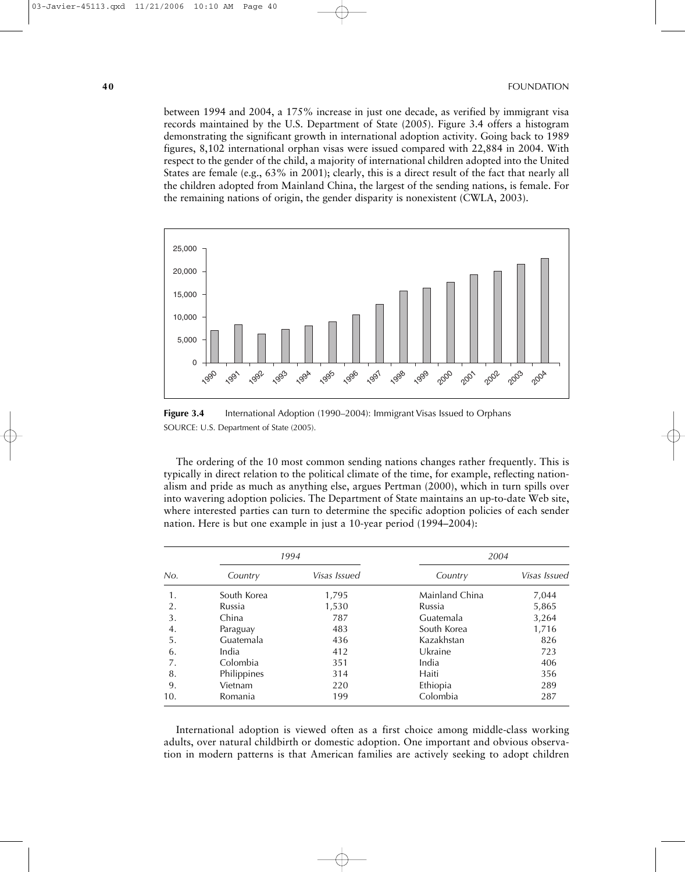#### **40** FOUNDATION

between 1994 and 2004, a 175% increase in just one decade, as verified by immigrant visa records maintained by the U.S. Department of State (2005). Figure 3.4 offers a histogram demonstrating the significant growth in international adoption activity. Going back to 1989 figures, 8,102 international orphan visas were issued compared with 22,884 in 2004. With respect to the gender of the child, a majority of international children adopted into the United States are female (e.g., 63% in 2001); clearly, this is a direct result of the fact that nearly all the children adopted from Mainland China, the largest of the sending nations, is female. For the remaining nations of origin, the gender disparity is nonexistent (CWLA, 2003).



**Figure 3.4** International Adoption (1990–2004): Immigrant Visas Issued to Orphans SOURCE: U.S. Department of State (2005).

The ordering of the 10 most common sending nations changes rather frequently. This is typically in direct relation to the political climate of the time, for example, reflecting nationalism and pride as much as anything else, argues Pertman (2000), which in turn spills over into wavering adoption policies. The Department of State maintains an up-to-date Web site, where interested parties can turn to determine the specific adoption policies of each sender nation. Here is but one example in just a 10-year period (1994–2004):

| No. | 1994               |              | 2004           |              |
|-----|--------------------|--------------|----------------|--------------|
|     | Country            | Visas Issued | Country        | Visas Issued |
| 1.  | South Korea        | 1,795        | Mainland China | 7,044        |
| 2.  | Russia             | 1,530        | Russia         | 5,865        |
| 3.  | China              | 787          | Guatemala      | 3,264        |
| 4.  | Paraguay           | 483          | South Korea    | 1,716        |
| 5.  | Guatemala          | 436          | Kazakhstan     | 826          |
| 6.  | India              | 412          | Ukraine        | 723          |
| 7.  | Colombia           | 351          | India          | 406          |
| 8.  | <b>Philippines</b> | 314          | Haiti          | 356          |
| 9.  | Vietnam            | 220          | Ethiopia       | 289          |
| 10. | Romania            | 199          | Colombia       | 287          |

International adoption is viewed often as a first choice among middle-class working adults, over natural childbirth or domestic adoption. One important and obvious observation in modern patterns is that American families are actively seeking to adopt children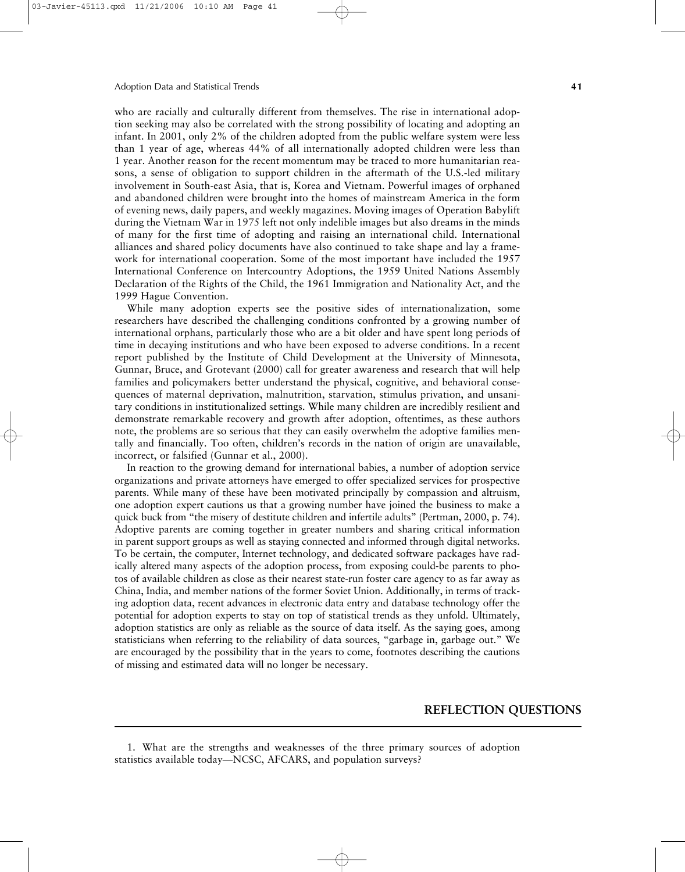who are racially and culturally different from themselves. The rise in international adoption seeking may also be correlated with the strong possibility of locating and adopting an infant. In 2001, only 2% of the children adopted from the public welfare system were less than 1 year of age, whereas 44% of all internationally adopted children were less than 1 year. Another reason for the recent momentum may be traced to more humanitarian reasons, a sense of obligation to support children in the aftermath of the U.S.-led military involvement in South-east Asia, that is, Korea and Vietnam. Powerful images of orphaned and abandoned children were brought into the homes of mainstream America in the form of evening news, daily papers, and weekly magazines. Moving images of Operation Babylift during the Vietnam War in 1975 left not only indelible images but also dreams in the minds of many for the first time of adopting and raising an international child. International alliances and shared policy documents have also continued to take shape and lay a framework for international cooperation. Some of the most important have included the 1957 International Conference on Intercountry Adoptions, the 1959 United Nations Assembly Declaration of the Rights of the Child, the 1961 Immigration and Nationality Act, and the 1999 Hague Convention.

While many adoption experts see the positive sides of internationalization, some researchers have described the challenging conditions confronted by a growing number of international orphans, particularly those who are a bit older and have spent long periods of time in decaying institutions and who have been exposed to adverse conditions. In a recent report published by the Institute of Child Development at the University of Minnesota, Gunnar, Bruce, and Grotevant (2000) call for greater awareness and research that will help families and policymakers better understand the physical, cognitive, and behavioral consequences of maternal deprivation, malnutrition, starvation, stimulus privation, and unsanitary conditions in institutionalized settings. While many children are incredibly resilient and demonstrate remarkable recovery and growth after adoption, oftentimes, as these authors note, the problems are so serious that they can easily overwhelm the adoptive families mentally and financially. Too often, children's records in the nation of origin are unavailable, incorrect, or falsified (Gunnar et al., 2000).

In reaction to the growing demand for international babies, a number of adoption service organizations and private attorneys have emerged to offer specialized services for prospective parents. While many of these have been motivated principally by compassion and altruism, one adoption expert cautions us that a growing number have joined the business to make a quick buck from "the misery of destitute children and infertile adults" (Pertman, 2000, p. 74). Adoptive parents are coming together in greater numbers and sharing critical information in parent support groups as well as staying connected and informed through digital networks. To be certain, the computer, Internet technology, and dedicated software packages have radically altered many aspects of the adoption process, from exposing could-be parents to photos of available children as close as their nearest state-run foster care agency to as far away as China, India, and member nations of the former Soviet Union. Additionally, in terms of tracking adoption data, recent advances in electronic data entry and database technology offer the potential for adoption experts to stay on top of statistical trends as they unfold. Ultimately, adoption statistics are only as reliable as the source of data itself. As the saying goes, among statisticians when referring to the reliability of data sources, "garbage in, garbage out." We are encouraged by the possibility that in the years to come, footnotes describing the cautions of missing and estimated data will no longer be necessary.

# **REFLECTION QUESTIONS**

<sup>1.</sup> What are the strengths and weaknesses of the three primary sources of adoption statistics available today—NCSC, AFCARS, and population surveys?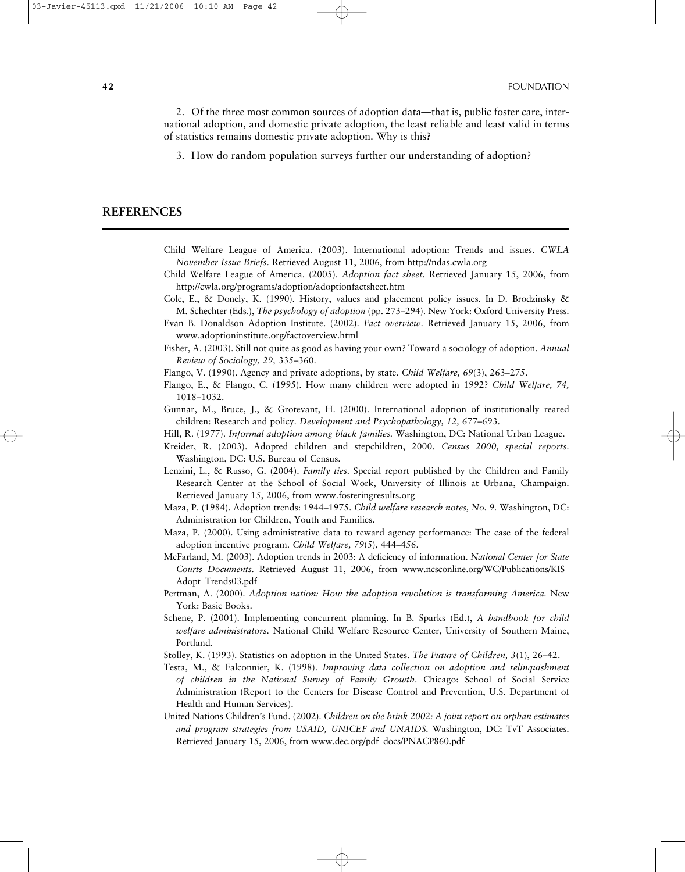#### **42** FOUNDATION

2. Of the three most common sources of adoption data—that is, public foster care, international adoption, and domestic private adoption, the least reliable and least valid in terms of statistics remains domestic private adoption. Why is this?

3. How do random population surveys further our understanding of adoption?

# **REFERENCES**

- Child Welfare League of America. (2003). International adoption: Trends and issues. *CWLA November Issue Briefs*. Retrieved August 11, 2006, from http://ndas.cwla.org
- Child Welfare League of America. (2005). *Adoption fact sheet*. Retrieved January 15, 2006, from http://cwla.org/programs/adoption/adoptionfactsheet.htm
- Cole, E., & Donely, K. (1990). History, values and placement policy issues. In D. Brodzinsky & M. Schechter (Eds.), *The psychology of adoption* (pp. 273–294). New York: Oxford University Press.
- Evan B. Donaldson Adoption Institute. (2002). *Fact overview*. Retrieved January 15, 2006, from www.adoptioninstitute.org/factoverview.html
- Fisher, A. (2003). Still not quite as good as having your own? Toward a sociology of adoption. *Annual Review of Sociology, 29,* 335–360.
- Flango, V. (1990). Agency and private adoptions, by state. *Child Welfare, 69*(3), 263–275.
- Flango, E., & Flango, C. (1995). How many children were adopted in 1992? *Child Welfare, 74,* 1018–1032.
- Gunnar, M., Bruce, J., & Grotevant, H. (2000). International adoption of institutionally reared children: Research and policy. *Development and Psychopathology, 12,* 677–693.
- Hill, R. (1977). *Informal adoption among black families.* Washington, DC: National Urban League.
- Kreider, R. (2003). Adopted children and stepchildren, 2000. *Census 2000, special reports*. Washington, DC: U.S. Bureau of Census.
- Lenzini, L., & Russo, G. (2004). *Family ties.* Special report published by the Children and Family Research Center at the School of Social Work, University of Illinois at Urbana, Champaign. Retrieved January 15, 2006, from www.fosteringresults.org
- Maza, P. (1984). Adoption trends: 1944–1975. *Child welfare research notes, No. 9.* Washington, DC: Administration for Children, Youth and Families.
- Maza, P. (2000). Using administrative data to reward agency performance: The case of the federal adoption incentive program. *Child Welfare, 79*(5), 444–456.
- McFarland, M. (2003). Adoption trends in 2003: A deficiency of information. *National Center for State Courts Documents.* Retrieved August 11, 2006, from www.ncsconline.org/WC/Publications/KIS\_ Adopt\_Trends03.pdf
- Pertman, A. (2000). *Adoption nation: How the adoption revolution is transforming America.* New York: Basic Books.
- Schene, P. (2001). Implementing concurrent planning. In B. Sparks (Ed.), *A handbook for child welfare administrators.* National Child Welfare Resource Center, University of Southern Maine, Portland.
- Stolley, K. (1993). Statistics on adoption in the United States. *The Future of Children, 3*(1), 26–42.
- Testa, M., & Falconnier, K. (1998). *Improving data collection on adoption and relinquishment of children in the National Survey of Family Growth*. Chicago: School of Social Service Administration (Report to the Centers for Disease Control and Prevention, U.S. Department of Health and Human Services).
- United Nations Children's Fund. (2002). *Children on the brink 2002: A joint report on orphan estimates and program strategies from USAID, UNICEF and UNAIDS.* Washington, DC: TvT Associates. Retrieved January 15, 2006, from www.dec.org/pdf\_docs/PNACP860.pdf